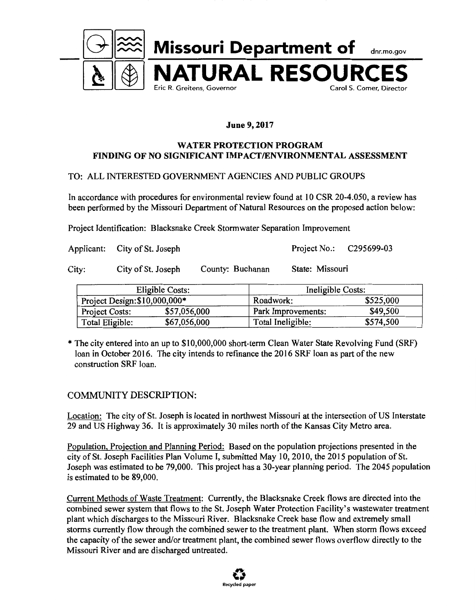

#### **June 9, 2017**

#### **WATER PROTECTION PROGRAM FINDING OF NO SIGNIFICANT IMPACT/ENVIRONMENT AL ASSESSMENT**

#### TO: ALL INTERESTED GOVERNMENT AGENCIES AND PUBLIC GROUPS

In accordance with procedures for environmental review found at 10 CSR 20-4.050, a review has been performed by the Missouri Department of Natural Resources on the proposed action below:

Project Identification: Blacksnake Creek Stormwater Separation Improvement

Applicant: City of St. Joseph Project No.: C295699-03

City: City of St. Joseph County: Buchanan State: Missouri

| Eligible Costs:               |              | Ineligible Costs:  |           |
|-------------------------------|--------------|--------------------|-----------|
| Project Design: \$10,000,000* |              | Roadwork:          | \$525,000 |
| Project Costs:                | \$57,056,000 | Park Improvements: | \$49,500  |
| Total Eligible:               | \$67,056,000 | Total Ineligible:  | \$574,500 |

\* The city entered into an up to \$10,000,000 short-term Clean Water State Revolving Fund (SRF) loan in October 2016. The city intends to refinance the 2016 SRF loan as part of the new construction SRF loan.

#### COMMUNITY DESCRIPTION:

Location: The city of St. Joseph is located in northwest Missouri at the intersection of US Interstate 29 and US Highway 36. It is approximately 30 miles north of the Kansas City Metro area.

Population, Projection and Planning Period: Based on the population projections presented in the city of St. Joseph Facilities Plan Volume I, submitted May 10, 2010, the 2015 population of St. Joseph was estimated to be 79,000. This project has a 30-year planning period. The 2045 population is estimated to be 89,000.

Current Methods of Waste Treatment: Currently, the Blacksnake Creek flows are directed into the combined sewer system that flows to the St. Joseph Water Protection Facility's wastewater treatment plant which discharges to the Missouri River. Blacksnake Creek base flow and extremely small storms currently flow through the combined sewer to the treatment plant. When storm flows exceed the capacity of the sewer and/or treatment plant, the combined sewer flows overflow directly to the Missouri River and are discharged untreated.

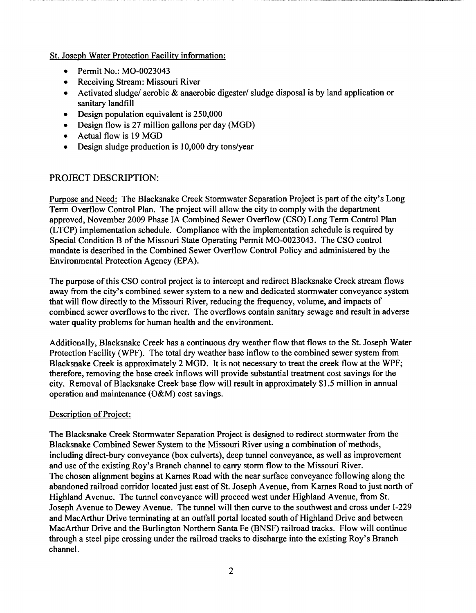St. Joseph Water Protection Facility information:

- Permit No.: M0-0023043
- Receiving Stream: Missouri River
- Activated sludge/ aerobic & anaerobic digester/ sludge disposal is by land application or sanitary landfill
- Design population equivalent is 250,000
- Design flow is 27 million gallons per day (MGD)
- Actual flow is 19 MGD
- Design sludge production is 10,000 dry tons/year

#### PROJECT DESCRIPTION:

Purpose and Need: The Blacksnake Creek Stormwater Separation Project is part of the city's Long Term Overflow Control Plan. The project will allow the city to comply with the department approved, November 2009 Phase IA Combined Sewer Overflow (CSO) Long Term Control Plan (L TCP) implementation schedule. Compliance with the implementation schedule is required by Special Condition B of the Missouri State Operating Permit M0-0023043. The CSO control mandate is described in the Combined Sewer Overflow Control Policy and administered by the Environmental Protection Agency (EPA).

The purpose of this CSO control project is to intercept and redirect Blacksnake Creek stream flows away from the city's combined sewer system to a new and dedicated stormwater conveyance system that will flow directly to the Missouri River, reducing the frequency, volume, and impacts of combined sewer overflows to the river. The overflows contain sanitary sewage and result in adverse water quality problems for human health and the environment.

Additionally, Blacksnake Creek has a continuous dry weather flow that flows to the St. Joseph Water Protection Facility (WPF). The total dry weather base inflow to the combined sewer system from Blacksnake Creek is approximately 2 MGD. It is not necessary to treat the creek flow at the WPF; therefore, removing the base creek inflows will provide substantial treatment cost savings for the city. Removal of Blacksnake Creek base flow will result in approximately \$1.5 million in annual operation and maintenance (O&M) cost savings.

#### Description of Project:

The Blacksnake Creek Stormwater Separation Project is designed to redirect stormwater from the Blacksnake Combined Sewer System to the Missouri River using a combination of methods, including direct-bury conveyance (box culverts), deep tunnel conveyance, as well as improvement and use of the existing Roy's Branch channel to carry storm flow to the Missouri River. The chosen alignment begins at Karnes Road with the near surface conveyance following along the abandoned railroad corridor located just east of St. Joseph A venue, from Karnes Road to just north of Highland Avenue. The tunnel conveyance will proceed west under Highland Avenue, from St. Joseph Avenue to Dewey Avenue. The tunnel will then curve to the southwest and cross under I-229 and MacArthur Drive terminating at an outfall portal located south of Highland Drive and between MacArthur Drive and the Burlington Northern Santa Fe (BNSF) railroad tracks. Flow will continue through a steel pipe crossing under the railroad tracks to discharge into the existing Roy's Branch channel.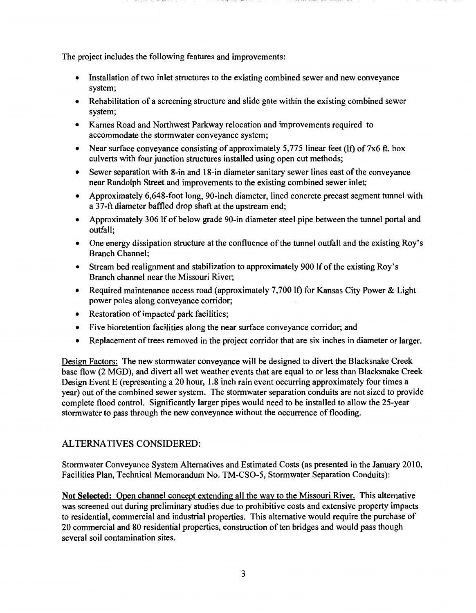The project includes the following features and improvements:

- Installation of two inlet structures to the existing combined sewer and new conveyance system;
- Rehabilitation of a screening structure and slide gate within the existing combined sewer system;
- Karnes Road and Northwest Parkway relocation and improvements required to accommodate the stormwater conveyance system;
- Near surface conveyance consisting of approximately 5,775 linear feet (If) of 7x6 ft. box culverts with four junction structures installed using open cut methods;
- Sewer separation with 8-in and 18-in diameter sanitary sewer lines east of the conveyance near Randolph Street and improvements to the existing combined sewer inlet;
- Approximately 6,648-foot long, 90-inch diameter, lined concrete precast segment tunnel with a 37-ft diameter baffled drop shaft at the upstream end;
- Approximately 306 If of below grade 90-in diameter steel pipe between the tunnel portal and outfall;
- One energy dissipation structure at the confluence of the tunnel outfall and the existing Roy's Branch Channel;
- Stream bed realignment and stabilization to approximately 900 If of the existing Roy's Branch channel near the Missouri River;
- Required maintenance access road (approximately 7,700 If) for Kansas City Power & Light power poles along conveyance corridor;
- Restoration of impacted park facilities;
- Five bioretention facilities along the near surface conveyance corridor; and
- Replacement of trees removed in the project corridor that are six inches in diameter or larger.

Design Factors: The new stormwater conveyance will be designed to divert the Blacksnake Creek base flow (2 MGD), and divert all wet weather events that are equal to or less than Blacksnake Creek Design Event E (representing a 20 hour, 1.8 inch rain event occurring approximately four times a year) out of the combined sewer system. The stormwater separation conduits are not sized to provide complete flood control. Significantly larger pipes would need to be installed to allow the 25-year storm water to pass through the new conveyance without the occurrence of flooding.

#### ALTERNATIVES CONSIDERED:

Stormwater Conveyance System Alternatives and Estimated Costs (as presented in the January 2010, Facilities Plan, Technical Memorandum No. TM-CS0-5, Stormwater Separation Conduits):

**Not Selected:** Open channel concept extending all the way to the Missouri River. This alternative was screened out during preliminary studies due to prohibitive costs and extensive property impacts to residential, commercial and industrial properties. This alternative would require the purchase of 20 commercial and 80 residential properties, construction of ten bridges and would pass though several soil contamination sites.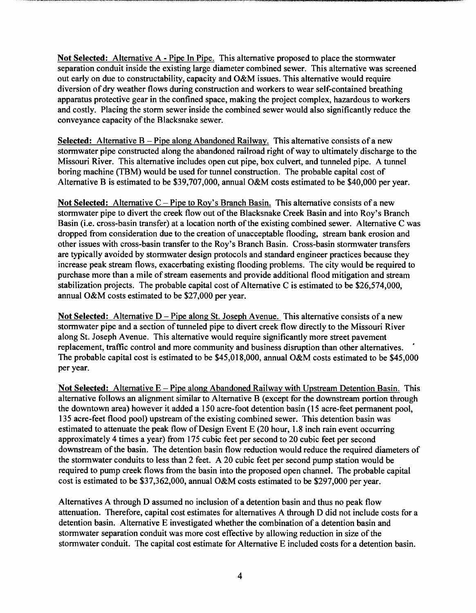**Not Selected:** Alternative A - Pipe In Pipe. This alternative proposed to place the stormwater separation conduit inside the existing large diameter combined sewer. This alternative was screened out early on due to constructability, capacity and O&M issues. This alternative would require diversion of dry weather flows during construction and workers to wear self-contained breathing apparatus protective gear in the confined space, making the project complex, hazardous to workers and costly. Placing the storm sewer inside the combined sewer would also significantly reduce the conveyance capacity of the Blacksnake sewer.

**Selected:** Alternative B – Pipe along Abandoned Railway. This alternative consists of a new stormwater pipe constructed along the abandoned railroad right of way to ultimately discharge to the Missouri River. This alternative includes open cut pipe, box culvert, and tunneled pipe. A tunnel boring machine (TBM) would be used for tunnel construction. The probable capital cost of Alternative Bis estimated to be \$39,707,000, annual O&M costs estimated to be \$40,000 per year.

**Not Selected:** Alternative C – Pipe to Roy's Branch Basin. This alternative consists of a new stormwater pipe to divert the creek flow out of the Blacksnake Creek Basin and into Roy's Branch Basin (i.e. cross-basin transfer) at a location north of the existing combined sewer. Alternative C was dropped from consideration due to the creation of unacceptable flooding, stream bank erosion and other issues with cross-basin transfer to the Roy's Branch Basin. Cross-basin stormwater transfers are typically avoided by stormwater design protocols and standard engineer practices because they increase peak stream flows, exacerbating existing flooding problems. The city would be required to purchase more than a mile of stream easements and provide additional flood mitigation and stream stabilization projects. The probable capital cost of Alternative C is estimated to be \$26,574,000, annual O&M costs estimated to be \$27,000 per year.

**Not Selected:** Alternative D-Pipe along St. Joseph Avenue. This alternative consists of a new stormwater pipe and a section of tunneled pipe to divert creek flow directly to the Missouri River along St. Joseph Avenue. This alternative would require significantly more street pavement replacement, traffic control and more community and business disruption than other alternatives. The probable capital cost is estimated to be \$45,018,000, annual O&M costs estimated to be \$45,000 per year.

**Not Selected:** Alternative E-Pipe along Abandoned Railway with Upstream Detention Basin. This alternative follows an alignment similar to Alternative B (except for the downstream portion through the downtown area) however it added a 150 acre-foot detention basin (15 acre-feet permanent pool, 135 acre-feet flood pool) upstream of the existing combined sewer. This detention basin was estimated to attenuate the peak flow of Design Event E (20 hour, 1.8 inch rain event occurring approximately 4 times a year) from 175 cubic feet per second to 20 cubic feet per second downstream of the basin. The detention basin flow reduction would reduce the required diameters of the stormwater conduits to less than 2 feet. A 20 cubic feet per second pump station would be required to pump creek flows from the basin into the proposed open channel. The probable capital cost is estimated to be \$37,362,000, annual O&M costs estimated to be \$297,000 per year.

Alternatives A through D assumed no inclusion of a detention basin and thus no peak flow attenuation. Therefore, capital cost estimates for alternatives A through D did not include costs for a detention basin. Alternative E investigated whether the combination of a detention basin and storm water separation conduit was more cost effective by allowing reduction in size of the stormwater conduit. The capital cost estimate for Alternative E included costs for a detention basin.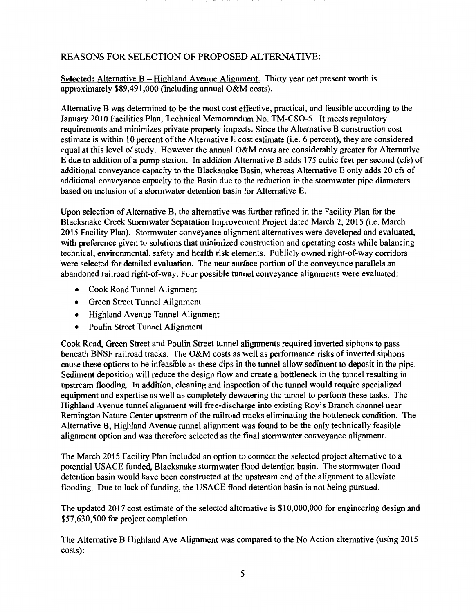#### REASONS FOR SELECTION OF PROPOSED ALTERNATIVE:

**Selected:** Alternative B - Highland Avenue Alignment. Thirty year net present worth is approximately \$89,491,000 (including annual O&M costs).

Alternative B was determined to be the most cost effective, practical, and feasible according to the January 2010 Facilities Plan, Technical Memorandum No. TM-CS0-5. It meets regulatory requirements and minimizes private property impacts. Since the Alternative B construction cost estimate is within 10 percent of the Alternative E cost estimate (i.e. 6 percent), they are considered equal at this level of study. However the annual O&M costs are considerably greater for Alternative E due to addition of a pump station. In addition Alternative B adds 175 cubic feet per second (cfs) of additional conveyance capacity to the Blacksnake Basin, whereas Alternative E only adds 20 cfs of additional conveyance capacity to the Basin due to the reduction in the stormwater pipe diameters based on inclusion of a stormwater detention basin for Alternative E.

Upon selection of Alternative B, the alternative was further refined in the Facility Plan for the Blacksnake Creek Stormwater Separation Improvement Project dated March 2, 2015 (i.e. March 2015 Facility Plan). Stormwater conveyance alignment alternatives were developed and evaluated, with preference given to solutions that minimized construction and operating costs while balancing technical, environmental, safety and health risk elements. Publicly owned right-of-way corridors were selected for detailed evaluation. The near surface portion of the conveyance parallels an abandoned railroad right-of-way. Four possible tunnel conveyance alignments were evaluated:

- Cook Road Tunnel Alignment
- Green Street Tunnel Alignment
- Highland Avenue Tunnel Alignment
- Poulin Street Tunnel Alignment

Cook Road, Green Street and Poulin Street tunnel alignments required inverted siphons to pass beneath BNSF railroad tracks. The O&M costs as well as performance risks of inverted siphons cause these options to be infeasible as these dips in the tunnel allow sediment to deposit in the pipe. Sediment deposition will reduce the design flow and create a bottleneck in the tunnel resulting in upstream flooding. In addition, cleaning and inspection of the tunnel would require specialized equipment and expertise as well as completely dewatering the tunnel to perform these tasks. The Highland Avenue tunnel alignment will free-discharge into existing Roy's Branch channel near Remington Nature Center upstream of the railroad tracks eliminating the bottleneck condition. The Alternative B, Highland Avenue tunnel alignment was found to be the only technically feasible alignment option and was therefore selected as the final stormwater conveyance alignment.

The March 2015 Facility Plan included an option to connect the selected project alternative to a potential USACE funded, Blacksnake stormwater flood detention basin. The stormwater flood detention basin would have been constructed at the upstream end of the alignment to alleviate flooding. Due to lack of funding, the USACE flood detention basin is not being pursued.

The updated 2017 cost estimate of the selected alternative is \$10,000,000 for engineering design and \$57,630,500 for project completion.

The Alternative B Highland Ave Alignment was compared to the No Action alternative (using 2015 costs):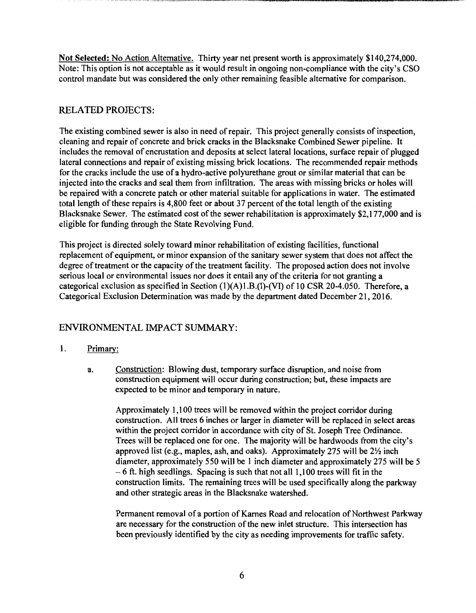**Not Selected:** No Action Alternative. Thirty year net present worth is approximately \$140,274,000. Note: This option is not acceptable as it would result in ongoing non-compliance with the city's CSO control mandate but was considered the only other remaining feasible alternative for comparison.

#### RELATED PROJECTS:

The existing combined sewer is also in need of repair. This project generally consists of inspection, cleaning and repair of concrete and brick cracks in the Blacksnake Combined Sewer pipeline. It includes the removal of encrustation and deposits at select lateral locations, surface repair of plugged lateral connections and repair of existing missing brick locations. The recommended repair methods for the cracks include the use of a hydro-active polyurethane grout or similar material that can be injected into the cracks and seal them from infiltration. The areas with missing bricks or holes will be repaired with a concrete patch or other material suitable for applications in water. The estimated total length of these repairs is 4,800 feet or about 37 percent of the total length of the existing Blacksnake Sewer. The estimated cost of the sewer rehabilitation is approximately \$2,177,000 and is eligible for funding through the State Revolving Fund.

This project is directed solely toward minor rehabilitation of existing facilities, functional replacement of equipment, or minor expansion of the sanitary sewer system that does not affect the degree of treatment or the capacity of the treatment facility. The proposed action does not involve serious local or environmental issues nor does it entail any of the criteria for not granting a categorical exclusion as specified in Section  $(1)(A)1.B.(I)$ -(VI) of 10 CSR 20-4.050. Therefore, a Categorical Exclusion Determination was made by the department dated December 21, 2016.

#### ENVIRONMENTAL IMPACT SUMMARY:

#### 1. Primary:

a. Construction: Blowing dust, temporary surface disruption, and noise from construction equipment will occur during construction; but, these impacts are expected to be minor and temporary in nature.

Approximately 1,100 trees will be removed within the project corridor during construction. All trees 6 inches or larger in diameter will be replaced in select areas within the project corridor in accordance with city of St. Joseph Tree Ordinance. Trees will be replaced one for one. The majority will be hardwoods from the city's approved list (e.g., maples, ash, and oaks). Approximately 275 will be  $2\frac{1}{2}$  inch diameter, approximately 550 will be 1 inch diameter and approximately 275 will be 5  $-6$  ft. high seedlings. Spacing is such that not all 1,100 trees will fit in the construction limits. The remaining trees will be used specifically along the parkway and other strategic areas in the Blacksnake watershed.

Permanent removal of a portion of Karnes Road and relocation of Northwest Parkway are necessary for the construction of the new inlet structure. This intersection has been previously identified by the city as needing improvements for traffic safety.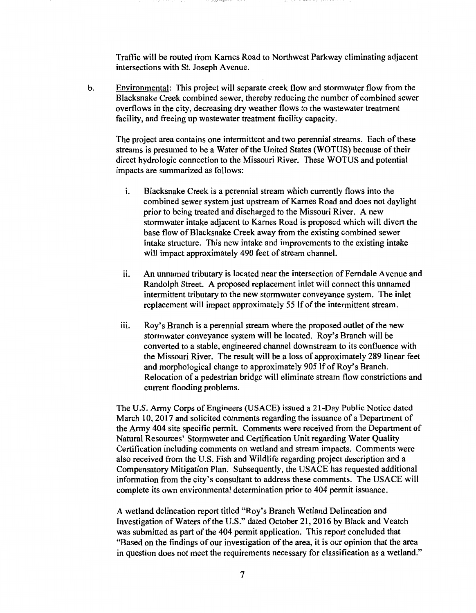Traffic will be routed from Karnes Road to Northwest Parkway eliminating adjacent intersections with St. Joseph Avenue.

b. Environmental: This project will separate creek flow and stormwater flow from the Blacksnake Creek combined sewer, thereby reducing the number of combined sewer overflows in the city, decreasing dry weather flows to the wastewater treatment facility, and freeing up wastewater treatment facility capacity.

The project area contains one intermittent and two perennial streams. Each of these streams is presumed to be a Water of the United States (WOTUS) because of their direct hydrologic connection to the Missouri River. These WOTUS and potential impacts are summarized as follows:

- i. Blacksnake Creek is a perennial stream which currently flows into the combined sewer system just upstream of Karnes Road and does not daylight prior to being treated and discharged to the Missouri River. A new stormwater intake adjacent to Karnes Road is proposed which will divert the base flow of Blacksnake Creek away from the existing combined sewer intake structure. This new intake and improvements to the existing intake will impact approximately 490 feet of stream channel.
- ii. An unnamed tributary is located near the intersection of Ferndale Avenue and Randolph Street. A proposed replacement inlet will connect this unnamed intermittent tributary to the new stormwater conveyance system. The inlet replacement will impact approximately 55 If of the intermittent stream.
- iii. Roy's Branch is a perennial stream where the proposed outlet of the new stormwater conveyance system will be located. Roy's Branch will be converted to a stable, engineered channel downstream to its confluence with the Missouri River. The result will be a loss of approximately 289 linear feet and morphological change to approximately 905 If of Roy's Branch. Relocation of a pedestrian bridge will eliminate stream flow constrictions and current flooding problems.

The U.S. Army Corps of Engineers (USACE) issued a 21-Day Public Notice dated March 10, 2017 and solicited comments regarding the issuance of a Department of the Army 404 site specific permit. Comments were received from the Department of Natural Resources' Stormwater and Certification Unit regarding Water Quality Certification including comments on wetland and stream impacts. Comments were also received from the U.S. Fish and Wildlife regarding project description and a Compensatory Mitigation Plan. Subsequently, the USACE has requested additional information from the city's consultant to address these comments. The USACE will complete its own environmental determination prior to 404 permit issuance.

A wetland delineation report titled "Roy's Branch Wetland Delineation and Investigation of Waters of the U.S." dated October 21, 2016 by Black and Veatch was submitted as part of the 404 permit application. This report concluded that "Based on the findings of our investigation of the area, it is our opinion that the area in question does not meet the requirements necessary for classification as a wetland."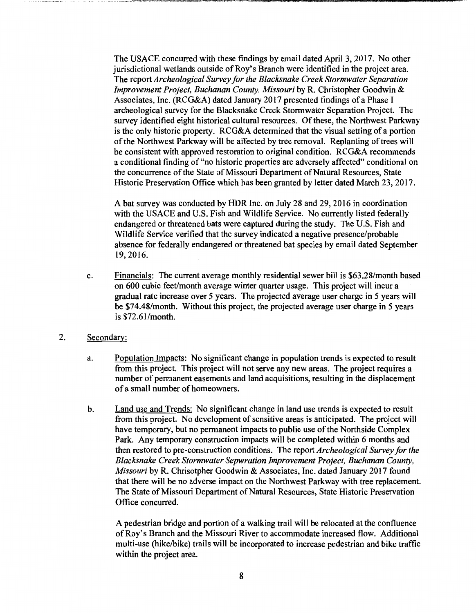The USACE concurred with these findings by email dated April 3, 2017. No other jurisdictional wetlands outside of Roy's Branch were identified in the project area. The report *Archeological Survey for the Blacksnake Creek Stormwater Separation Improvement Project, Buchanan County, Missouri* by R. Christopher Goodwin & Associates, Inc. (RCG&A) dated January 2017 presented findings of a Phase I archeological survey for the Blacksnake Creek Stormwater Separation Project. The survey identified eight historical cultural resources. Of these, the Northwest Parkway is the only historic property. RCG&A determined that the visual setting of a portion of the Northwest Parkway will be affected by tree removal. Replanting of trees will be consistent with approved restoration to original condition. RCG&A recommends a conditional finding of "no historic properties are adversely affected" conditional on the concurrence of the State of Missouri Department of Natural Resources, State Historic Preservation Office which has been granted by letter dated March 23, 2017.

A bat survey was conducted by HOR Inc. on July 28 and 29, 2016 in coordination with the USACE and U.S. Fish and Wildlife Service. No currently listed federally endangered or threatened bats were captured during the study. The U.S. Fish and Wildlife Service verified that the survey indicated a negative presence/probable absence for federally endangered or threatened bat species by email dated September 19, 2016.

- c. Financials: The current average monthly residential sewer bill is \$63.28/month based on 600 cubic feet/month average winter quarter usage. This project will incur a gradual rate increase over 5 years. The projected average user charge in 5 years will be \$74.48/month. Without this project, the projected average user charge in *5* years is \$72.61/month.
- 2. Secondary:
	- a. Population Impacts: No significant change in population trends is expected to result from this project. This project will not serve any new areas. The project requires a number of permanent easements and land acquisitions, resulting in the displacement of a small number of homeowners.
	- b. Land use and Trends: No significant change in land use trends is expected to result from this project. No development of sensitive areas is anticipated. The project will have temporary, but no permanent impacts to public use of the Northside Complex Park. Any temporary construction impacts will be completed within 6 months and then restored to pre-construction conditions. The report *Archeological Survey for the Blacksnake Creek Stormwater Sepwration Improvement Project, Buchanan County, Missouri* by R. Chrisotpher Goodwin & Associates, Inc. dated January 2017 found that there will be no adverse impact on the Northwest Parkway with tree replacement. The State of Missouri Department of Natural Resources, State Historic Preservation Office concurred.

A pedestrian bridge and portion of a walking trail will be relocated at the confluence of Roy's Branch and the Missouri River to accommodate increased flow. Additional multi-use (hike/bike) trails will be incorporated to increase pedestrian and bike traffic within the project area.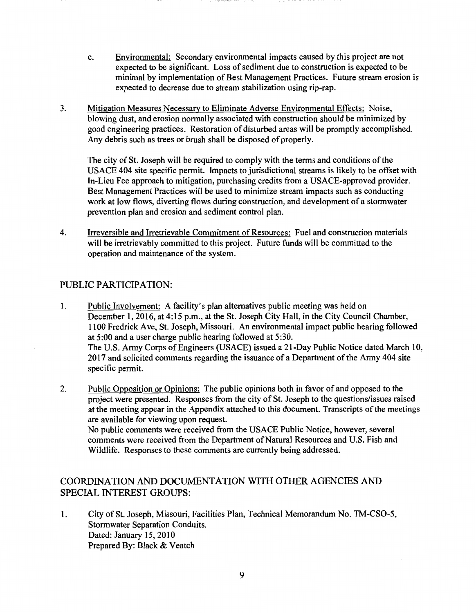- c. Environmental: Secondary environmental impacts caused by this project are not expected to be significant. Loss of sediment due to construction is expected to be minimal by implementation of Best Management Practices. Future stream erosion is expected to decrease due to stream stabilization using rip-rap.
- 3. Mitigation Measures Necessary to Eliminate Adverse Environmental Effects: Noise, blowing dust, and erosion normally associated with construction should be minimized by good engineering practices. Restoration of disturbed areas will be promptly accomplished. Any debris such as trees or brush shall be disposed of properly.

The city of St. Joseph will be required to comply with the terms and conditions of the USA CE 404 site specific permit. Impacts to jurisdictional streams is likely to be offset with In-Lieu Fee approach to mitigation, purchasing credits from a USACE-approved provider. Best Management Practices will be used to minimize stream impacts such as conducting work at low flows, diverting flows during construction, and development of a stormwater prevention plan and erosion and sediment control plan.

4. Irreversible and Irretrievable Commitment of Resources: Fuel and construction materials will be irretrievably committed to this project. Future funds will be committed to the operation and maintenance of the system.

#### PUBLIC PARTICIPATION:

- 1. Public Involvement: A facility's plan alternatives public meeting was held on December 1, 2016, at 4:15 p.m., at the St. Joseph City Hall, in the City Council Chamber, 1100 Fredrick Ave, St. Joseph, Missouri. An environmental impact public hearing followed at 5:00 and a user charge public hearing followed at 5:30. The U.S. Army Corps of Engineers (USACE) issued a 21-Day Public Notice dated March 10, 2017 and solicited comments regarding the issuance of a Department of the Army 404 site specific permit.
- 2. Public Opposition or Opinions: The public opinions both in favor of and opposed to the project were presented. Responses from the city of St. Joseph to the questions/issues raised at the meeting appear in the Appendix attached to this document. Transcripts of the meetings are available for viewing upon request. No public comments were received from the USACE Public Notice, however, several comments were received from the Department of Natural Resources and U.S. Fish and Wildlife. Responses to these comments are currently being addressed.

#### COORDINATION AND DOCUMENTATION WITH OTHER AGENCIES AND SPECIAL INTEREST GROUPS:

1. City of St. Joseph, Missouri, Facilities Plan, Technical Memorandum No. TM-CS0-5, Stormwater Separation Conduits. Dated: January 15, 2010 Prepared By: Black & Veatch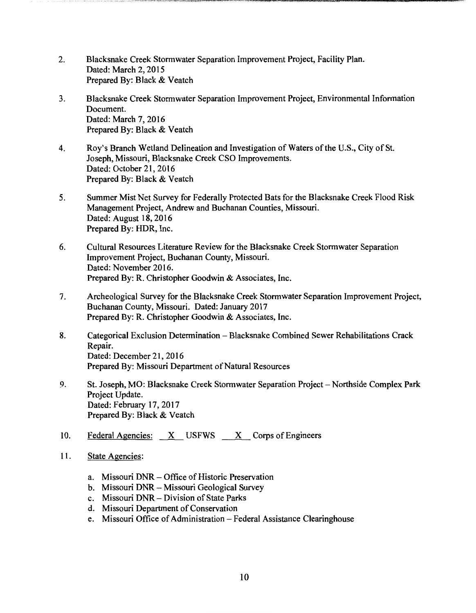- 2. Blacksnake Creek Stormwater Separation Improvement Project, Facility Plan. Dated: March 2, 2015 Prepared By: Black & Veatch
- 3. Blacksnake Creek Stormwater Separation Improvement Project, Environmental Information Document. Dated: March 7, 2016 Prepared By: Black & Veatch
- 4. Roy's Branch Wetland Delineation and Investigation of Waters of the U.S., City of St. Joseph, Missouri, Blacksnake Creek CSO Improvements. Dated: October 21, 2016 Prepared By: Black & Veatch
- 5. Summer Mist Net Survey for Federally Protected Bats for the Blacksnake Creek Flood Risk Management Project, Andrew and Buchanan Counties, Missouri. Dated: August 18, 2016 Prepared By: HDR, Inc.
- 6. Cultural Resources Literature Review for the Blacksnake Creek Stormwater Separation Improvement Project, Buchanan County, Missouri. Dated: November 2016. Prepared By: R. Christopher Goodwin & Associates, Inc.
- 7. Archeological Survey for the Blacksnake Creek Stormwater Separation Improvement Project, Buchanan County, Missouri. Dated: January 2017 Prepared By: R. Christopher Goodwin & Associates, Inc.
- 8. Categorical Exclusion Determination Blacksnake Combined Sewer Rehabilitations Crack Repair. Dated: December 21, 2016 Prepared By: Missouri Department of Natural Resources
- 9. St. Joseph, MO: Blacksnake Creek Stormwater Separation Project Northside Complex Park Project Update. Dated: February 17, 2017 Prepared By: Black & Veatch
- 10. Federal Agencies:  $X$  USFWS  $X$  Corps of Engineers
- 11. State Agencies:
	- a. Missouri DNR Office of Historic Preservation
	- b. Missouri DNR Missouri Geological Survey
	- c. Missouri DNR Division of State Parks
	- d. Missouri Department of Conservation
	- e. Missouri Office of Administration Federal Assistance Clearinghouse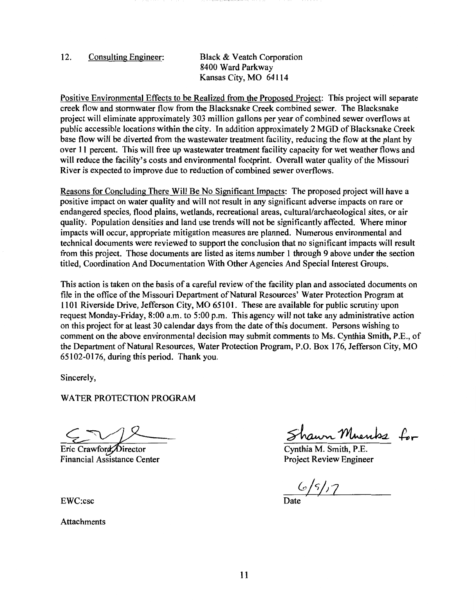#### 12. Consulting Engineer: Black & Veatch Corporation 8400 Ward Parkway Kansas City, MO 64114

Positive Environmental Effects to be Realized from the Proposed Project: This project will separate creek flow and stormwater flow from the Blacksnake Creek combined sewer. The Blacksnake project will eliminate approximately 303 million gallons per year of combined sewer overflows at public accessible locations within the city. In addition approximately 2 MGD of Blacksnake Creek base flow will be diverted from the wastewater treatment facility, reducing the flow at the plant by over 11 percent. This will free up wastewater treatment facility capacity for wet weather flows and will reduce the facility's costs and environmental footprint. Overall water quality of the Missouri River is expected to improve due to reduction of combined sewer overflows.

Reasons for Concluding There Will Be No Significant Impacts: The proposed project will have a positive impact on water quality and will not result in any significant adverse impacts on rare or endangered species, flood plains, wetlands, recreational areas, cultural/archaeological sites, or air quality. Population densities and land use trends will not be significantly affected. Where minor impacts will occur, appropriate mitigation measures are planned. Numerous environmental and technical documents were reviewed to support the conclusion that no significant impacts will result from this project. Those documents are listed as items number 1 through 9 above under the section titled, Coordination And Documentation With Other Agencies And Special Interest Groups.

This action is taken on the basis of a careful review of the facility plan and associated documents on file in the office of the Missouri Department of Natural Resources' Water Protection Program at 1101 Riverside Drive, Jefferson City, MO 65101. These are available for public scrutiny upon request Monday-Friday, 8:00 a.m. to 5:00 p.m. This agency will not take any administrative action on this project for at least 30 calendar days from the date of this document. Persons wishing to comment on the above environmental decision may submit comments to Ms. Cynthia Smith, P.E., of the Department of Natural Resources, Water Protection Program, P.O. Box 176, Jefferson City, MO 65102-0176, during this period. Thank you.

Sincerely,

WATER PROTECTION PROGRAM

Eric Crawford Director Financial Assistance Center

EWC:csc

**Attachments** 

Shawn Muents for

Cynthia M. Smith, P.E. Project Review Engineer

 $65/7$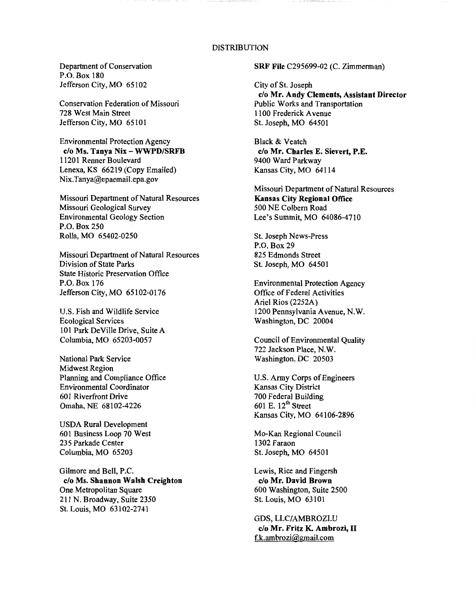#### DISTRIBUTION

Department of Conservation P.O. Box 180 Jefferson City, MO 65102

Conservation Federation of Missouri 728 West Main Street Jefferson City, MO 65101

Environmental Protection Agency **c/o Ms. Tanya Nix** - **WWPD/SRFB**  11201 Renner Boulevard Lenexa, KS 66219 (Copy Emailed) Nix.Tanya@epaemail.epa.gov

Missouri Department of Natural Resources Missouri Geological Survey Environmental Geology Section **P.O.** Box250 Rolla, MO 65402-0250

Missouri Department of Natural Resources Division of State Parks State Historic Preservation Office P.O. Box 176 Jefferson City, MO 65102-0176

U.S. Fish and Wildlife Service Ecological Services 101 Park De Ville Drive, Suite A Columbia, MO 65203-0057

National Park Service Midwest Region Planning and Compliance Office Environmental Coordinator 601 Riverfront Drive Omaha, NE 68102-4226

USDA Rural Development 601 Business Loop 70 West 235 Parkade Center Columbia, MO 65203

Gilmore and Bell, P.C. **c/o Ms. Shannon Walsh Creighton**  One Metropolitan Square 211 N. Broadway, Suite 2350 St. Louis, MO 63102-2741

**SRF File** C295699-02 (C. Zimmerman)

City of St. Joseph **c/o Mr. Andy Clements, Assistant Director**  Public Works and Transportation 1100 Frederick A venue St. Joseph, MO 64501

Black & Veatch **c/o Mr. Charles E. Sievert, P.E.**  9400 Ward Parkway Kansas City, MO 64114

Missouri Department of Natural Resources **Kansas City Regional Office**  500 NE Colbern Road Lee's Summit, MO 64086-4710

St. Joseph News-Press P.O. Box 29 825 Edmonds Street St. Joseph, MO 64501

Environmental Protection Agency Office of Federal Activities Ariel Rios (2252A) 1200 Pennsylvania Avenue, **N.W.**  Washington, DC 20004

Council of Environmental Quality 722 Jackson Place, **N.W.**  Washington, DC 20503

U.S. Army Corps of Engineers Kansas City District 700 Federal Building 601 E. 12<sup>th</sup> Street Kansas City, MO 64106-2896

Mo-Kan Regional Council 1302 Faraon St. Joseph, MO 64501

Lewis, Rice and Fingersh **c/o Mr. David Brown**  600 Washington, Suite 2500 St. Louis, MO 63101

GOS, LLC/AMBROZI.U **c/o Mr. Fritz K. Ambrozi,** II f.k.ambrozi@gmail.com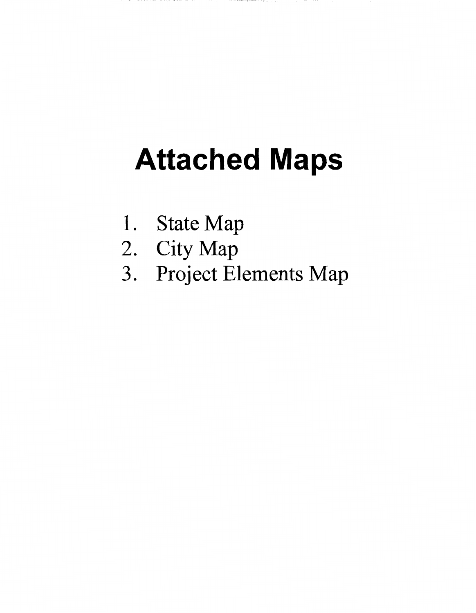# **Attached Maps**

- 1. State Map
- 2. City Map
- 3. Project Elements Map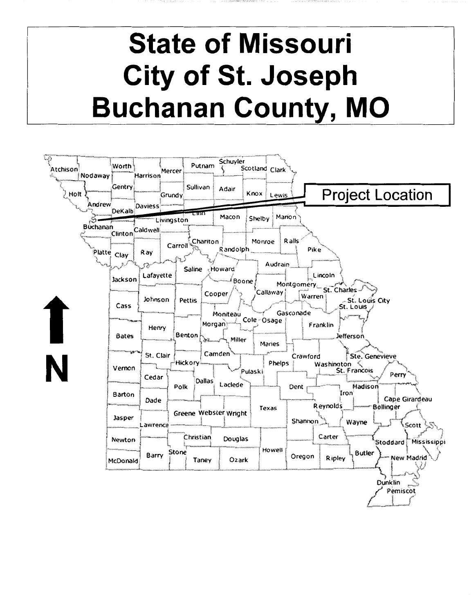### **State of Missouri City of St. Joseph Buchanan County, MO**

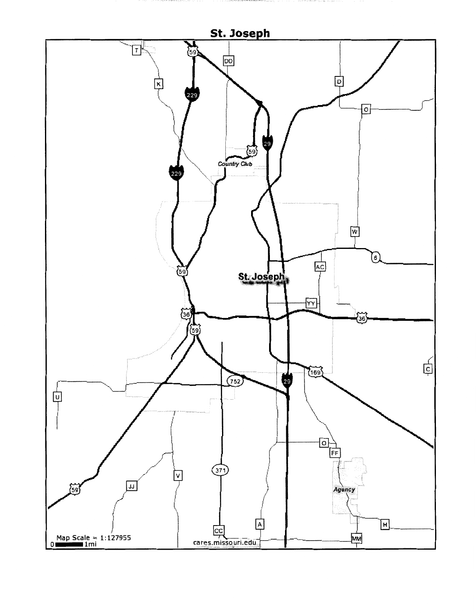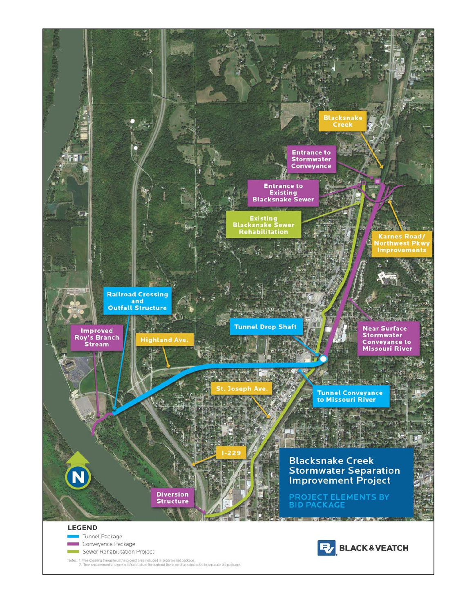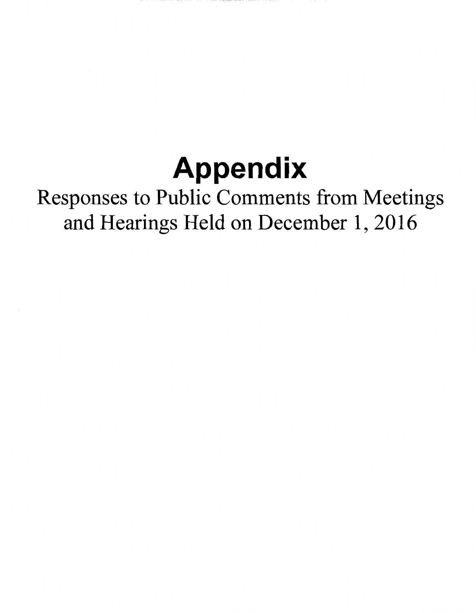## **Appendix**

### Responses to Public Comments from Meetings and Hearings Held on December 1, 2016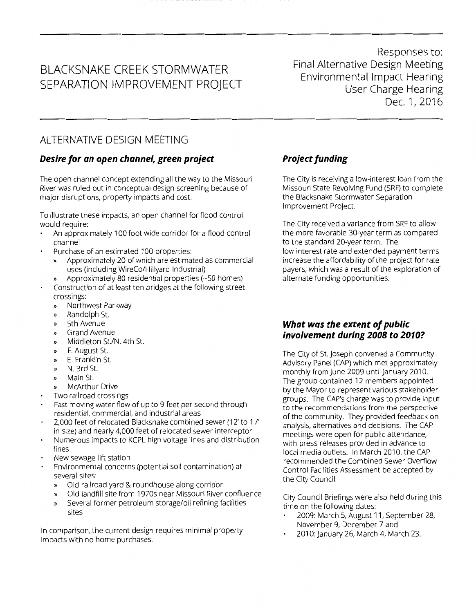### BLACKSNAKE CREEK STORMWATER SEPARATION IMPROVEMENT PROJECT

Responses to: Final Alternative Design Meeting Environmental Impact Hearing User Charge Hearing Dec.1,2016

### ALTERNATIVE DESIGN MEETING

#### *Desire for an open channel, green project*

The open channel concept extending all the way to the Missouri River was ruled out in conceptual design screening because of major disruptions, property impacts and cost.

To illustrate these impacts, an open channel for flood control would require:

- An approximately 100 foot wide corridor for a flood control channel
- Purchase of an estimated 100 properties:
	- » Approximately 20 of which are estimated as commercial uses (including WireCo/Hillyard Industrial)
	- » Approximately 80 residential properties (~50 homes)
- Construction of at least ten bridges at the following street crossings:
	- » Northwest Parkway
	- » Randolph St.
	- » 5th Avenue
	- » Grand Avenue
	- » Middleton St./N. 4th St.
	- » E. August St.
	- » E. Franklin St.
	- » N. 3rd St.
	- » Main St.
	- » McArthur Drive
- Two railroad crossings
- Fast moving water flow of up to 9 feet per second through residential, commercial, and industrial areas
- 2,000 feet of relocated Blacksnake combined sewer (12' to 17' in size) and nearly 4,000 feet of relocated sewer interceptor
- Numerous impacts to KCPL high voltage lines and distribution lines
- New sewage lift station
- Environmental concerns (potential soil contamination) at several sites:
	- » Old railroad yard & roundhouse along corridor
	- » Old landfill site from 1970s near Missouri River confluence
	- » Several former petroleum storage/oil refining facilities sites

In comparison, the current design requires minimal property impacts with no home purchases.

#### *Project funding*

The City is receiving a low-interest loan from the Missouri State Revolving Fund (SRF) to complete the Blacksnake Stormwater Separation Improvement Project.

The City received a variance from SRF to allow the more favorable 30-year term as compared to the standard 20-year term. The low interest rate and extended payment terms increase the affordability of the project for rate payers, which was a result of the exploration of alternate funding opportunities.

#### *What was the extent of public involvement during 2008 to 2010?*

The City of St. Joseph convened a Community Advisory Panel (CAP) which met approximately monthly from June 2009 until January 2010. The group contained 12 members appointed by the Mayor to represent various stakeholder groups. The CAP's charge was to provide input to the recommendations from the perspective of the community. They provided feedback on analysis, alternatives and decisions. The CAP meetings were open for public attendance, with press releases provided in advance to local media outlets. In March 2010, the CAP recommended the Combined Sewer Overflow Control Facilities Assessment be accepted by the City Council.

City Council Briefings were also held during this time on the following dates:

- 2009: March 5, August 11, September 28, November 9, December 7 and
- 2010: January 26, March 4, March 23.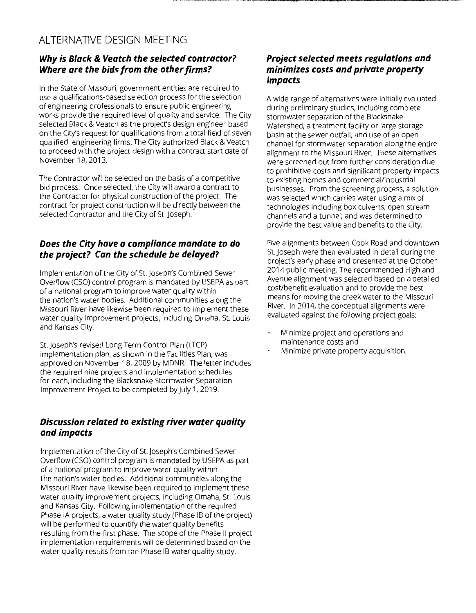#### ALTERNATIVE DESIGN MEETING

#### *Why is Black* **&** *Veatch the selected contractor? Where are the bids from the other firms?*

In the State of Missouri, government entities are required to use a qualifications-based selection process for the selection of engineering professionals to ensure public engineering works provide the required level of quality and service. The City selected Black & Veatch as the project's design engineer based on the City's request for qualifications from a total field of seven qualified engineering firms. The City authorized Black & Veatch to proceed with the project design with a contract start date of November 18, 2013.

The Contractor will be selected on the basis of a competitive bid process. Once selected, the City will award a contract to the Contractor for physical construction of the project. The contract for project construction will be directly between the selected Contractor and the City of St. Joseph.

#### *Does the City have a compliance mandate to do the project? Can the schedule be delayed?*

Implementation of the City of St. Joseph's Combined Sewer Overflow (CSO) control program is mandated by USEPA as part of a national program to improve water quality within the nation's water bodies. Additional communities along the Missouri River have likewise been required to implement these water quality improvement projects, including Omaha, St. Louis and Kansas City.

St. Joseph's revised Long Term Control Plan (LTCP) implementation plan, as shown in the Facilities Plan, was approved on November 18, 2009 by MDNR. The letter includes the required nine projects and implementation schedules for each, including the Blacksnake Stormwater Separation Improvement Project to be completed by July 1, 2019.

#### *Discussion related to existing river water quality and impacts*

Implementation of the City of St. Joseph's Combined Sewer Overflow (CSO) control program is mandated by USEPA as part of a national program to improve water quality within the nation's water bodies. Additional communities along the Missouri River have likewise been required to implement these water quality improvement projects, including Omaha, St. Louis and Kansas City. Following implementation of the required Phase IA projects, a water quality study (Phase 18 of the project) will be performed to quantify the water quality benefits resulting from the first phase. The scope of the Phase II project implementation requirements will be determined based on the water quality results from the Phase 18 water quality study.

#### *Project selected meets regulations and minimizes costs and private property impacts*

A wide range of alternatives were initially evaluated during preliminary studies, including complete stormwater separation of the Blacksnake Watershed, a treatment facility or large storage basin at the sewer outfall, and use of an open channel for stormwater separation along the entire alignment to the Missouri River. These alternatives were screened out from further consideration due to prohibitive costs and significant property impacts to existing homes and commercial/industrial businesses. From the screening process, a solution was selected which carries water using a mix of technologies including box culverts, open stream channels and a tunnel; and was determined to provide the best value and benefits to the City.

Five alignments between Cook Road and downtown St.Joseph were then evaluated in detail during the project's early phase and presented at the October 2014 public meeting. The recommended Highland Avenue alignment was selected based on a detailed cost/benefit evaluation and to provide the best means for moving the creek water to the Missouri River. In 2014, the conceptual alignments were evaluated against the following project goals:

- Minimize project and operations and  $\ddot{\phantom{0}}$ maintenance costs and
- Minimize private property acquisition.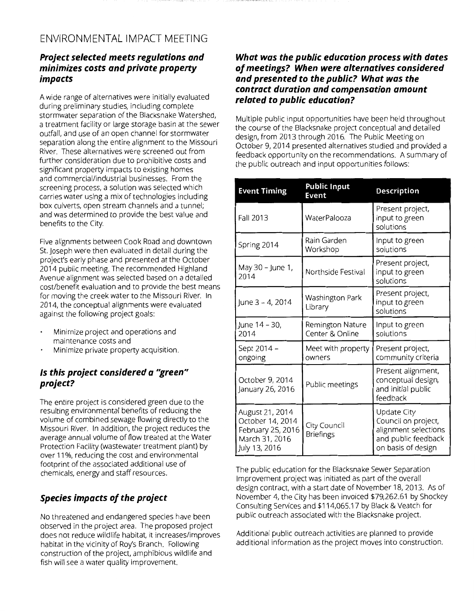#### ENVIRONMENTAL IMPACT MEETING

#### *Project selected meets regulations and minimizes costs and private property impacts*

A wide range of alternatives were initially evaluated during preliminary studies, including complete stormwater separation of the Blacksnake Watershed, a treatment facility or large storage basin at the sewer outfall, and use of an open channel for stormwater separation along the entire alignment to the Missouri River. These alternatives were screened out from further consideration due to prohibitive costs and significant property impacts to existing homes and commercial/industrial businesses. From the screening process, a solution was selected which carries water using a mix of technologies including box culverts, open stream channels and a tunnel; and was determined to provide the best value and benefits to the City.

Five alignments between Cook Road and downtown St. Joseph were then evaluated in detail during the project's early phase and presented at the October 2014 public meeting. The recommended Highland Avenue alignment was selected based on a detailed cost/benefit evaluation and to provide the best means for moving the creek water to the Missouri River. In 2014, the conceptual alignments were evaluated against the following project goals:

- Minimize project and operations and  $\ddot{\phantom{a}}$ maintenance costs and
- Minimize private property acquisition.

#### *Is this project considered a 1 'green" project?*

The entire project is considered green due to the resulting environmental benefits of reducing the volume of combined sewage flowing directly to the Missouri River. In addition, the project reduces the average annual volume of flow treated at the Water Protection Facility (wastewater treatment plant) by over 11%, reducing the cost and environmental footprint of the associated additional use of chemicals, energy and staff resources.

#### *Species impacts of the project*

No threatened and endangered species have been observed in the project area. The proposed project does not reduce wildlife habitat, it increases/improves habitat in the vicinity of Roy's Branch. Following construction of the project, amphibious wildlife and fish will see a water quality improvement.

#### *What was the public education process with dates of meetings? When were alternatives considered and presented to the public? What was the contract duration and compensation amount related to public education?*

Multiple public input opportunities have been held throughout the course of the Blacksnake project conceptual and detailed design, from 2013 through 2016. The Public Meeting on October 9, 2014 presented alternatives studied and provided a feedback opportunity on the recommendations. A summary of the public outreach and input opportunities follows:

| <b>Event Timing</b>                                                                         | <b>Public Input</b><br>Event        | <b>Description</b>                                                                                             |
|---------------------------------------------------------------------------------------------|-------------------------------------|----------------------------------------------------------------------------------------------------------------|
| <b>Fall 2013</b>                                                                            | WaterPalooza                        | Present project,<br>input to green<br>solutions                                                                |
| Spring 2014                                                                                 | Rain Garden<br>Workshop             | Input to green<br>solutions                                                                                    |
| May 30 - June 1,<br>2014                                                                    | Northside Festival                  | Present project,<br>input to green<br>solutions                                                                |
| June 3 - 4, 2014                                                                            | Washington Park<br>Library          | Present project,<br>input to green<br>solutions                                                                |
| June 14 - 30,<br>2014                                                                       | Remington Nature<br>Center & Online | Input to green<br>solutions                                                                                    |
| Sept 2014 -<br>ongoing                                                                      | Meet with property<br>owners        | Present project,<br>community criteria                                                                         |
| October 9, 2014<br>January 26, 2016                                                         | Public meetings                     | Present alignment,<br>conceptual design,<br>and initial public<br>feedback                                     |
| August 21, 2014<br>October 14, 2014<br>February 25, 2016<br>March 31, 2016<br>July 13, 2016 | City Council<br><b>Briefings</b>    | <b>Update City</b><br>Council on project,<br>alignment selections<br>and public feedback<br>on basis of design |

The public education for the Blacksnake Sewer Separation Improvement project was initiated as part of the overal design contract, with a start date of November 18, 2013. As of November 4, the City has been invoiced \$79,262.61 by Shockey Consulting Services and \$114,065.17 by Black & Veatch for public outreach associated with the Blacksnake project.

Additional public outreach activities are planned to provide additional information as the project moves into construction.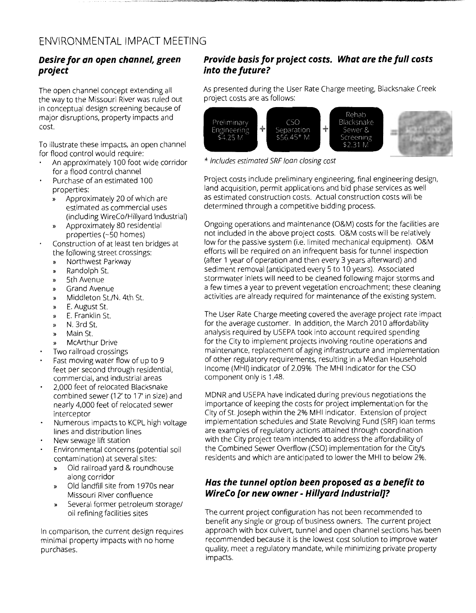#### Desire for an open channel, green project

The open channel concept extending all the way to the Missouri River was ruled out in conceptual design screening because of major disruptions, property impacts and cost.

To illustrate these impacts, an open channel for flood control would require:

- An approximately 100 foot wide corridor for a flood control channel
- Purchase of an estimated 100 properties:
	- Approximately 20 of which are  $\mathbf{v}$ estimated as commercial uses (including WireCo/Hillyard Industrial)
	- » Approximately 80 residential properties (~50 homes)
- Construction of at least ten bridges at the following street crossings:
	- Northwest Parkway  $\boldsymbol{y}$
	- Randolph St.  $\mathbf{v}$
	- 5th Avenue
	- **Grand Avenue**  $\mathbf{v}$
	- Middleton St./N. 4th St.  $\lambda$
	- E. August St.  $\mathbf{v}$
	- E. Franklin St.  $\mathbf{v}$
	- N. 3rd St. »
	- Main St.  $\boldsymbol{v}$
	- **McArthur Drive**
- Two railroad crossings
- Fast moving water flow of up to 9 feet per second through residential, commercial, and industrial areas
- 2,000 feet of relocated Blacksnake combined sewer (12' to 17' in size) and nearly 4,000 feet of relocated sewer interceptor
- Numerous impacts to KCPL high voltage lines and distribution lines
- New sewage lift station
- Environmental concerns (potential soil contamination) at several sites:
	- Old railroad yard & roundhouse along corridor
	- Old landfill site from 1970s near  $\boldsymbol{\mathcal{Y}}$ Missouri River confluence
	- Several former petroleum storage/ oil refining facilities sites

In comparison, the current design requires minimal property impacts with no home purchases.

#### Provide basis for project costs. What are the full costs into the future?

As presented during the User Rate Charge meeting, Blacksnake Creek project costs are as follows:



\* Includes estimated SRF loan closing cost

Project costs include preliminary engineering, final engineering design, land acquisition, permit applications and bid phase services as well as estimated construction costs. Actual construction costs will be determined through a competitive bidding process.

Ongoing operations and maintenance (O&M) costs for the facilities are not included in the above project costs. O&M costs will be relatively low for the passive system (i.e. limited mechanical equipment). O&M efforts will be required on an infrequent basis for tunnel inspection (after 1 year of operation and then every 3 years afterward) and sediment removal (anticipated every 5 to 10 years). Associated stormwater inlets will need to be cleaned following major storms and a few times a year to prevent vegetation encroachment; these cleaning activities are already required for maintenance of the existing system.

The User Rate Charge meeting covered the average project rate impact for the average customer. In addition, the March 2010 affordability analysis required by USEPA took into account required spending for the City to implement projects involving routine operations and maintenance, replacement of aging infrastructure and implementation of other regulatory requirements, resulting in a Median Household Income (MHI) indicator of 2.09% The MHI Indicator for the CSO component only is 1.48.

MDNR and USEPA have indicated during previous negotiations the importance of keeping the costs for project implementation for the City of St. Joseph within the 2% MHI indicator. Extension of project implementation schedules and State Revolving Fund (SRF) loan terms are examples of regulatory actions attained through coordination with the City project team intended to address the affordability of the Combined Sewer Overflow (CSO) implementation for the City's residents and which are anticipated to lower the MHI to below 2%.

#### Has the tunnel option been proposed as a benefit to WireCo [or new owner - Hillyard Industrial]?

The current project configuration has not been recommended to benefit any single or group of business owners. The current project approach with box culvert, tunnel and open channel sections has been recommended because it is the lowest cost solution to improve water quality, meet a regulatory mandate, while minimizing private property impacts.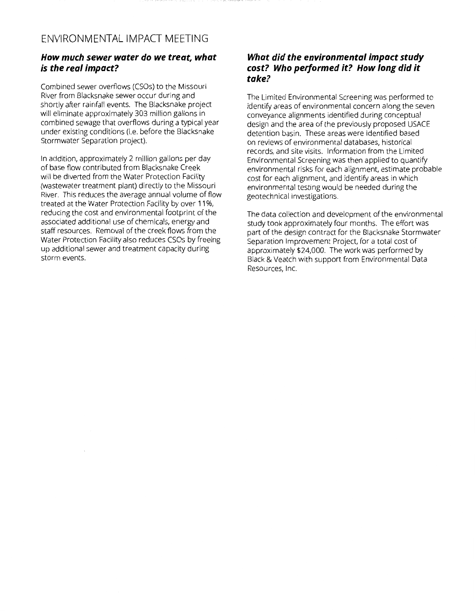#### *How much sewer water do we treat, what is the real impact?*

Combined sewer overflows (CSOs) to the Missouri River from Blacksnake sewer occur during and shortly after rainfall events. The Blacksnake project will eliminate approximately 303 million gallons in combined sewage that overflows during a typical year under existing conditions (i.e. before the Blacksnake Stormwater Separation project).

In addition, approximately 2 million gallons per day of base flow contributed from Blacksnake Creek will be diverted from the Water Protection Facility (wastewater treatment plant) directly to the Missouri River. This reduces the average annual volume of flow treated at the Water Protection Facility by over 11%, reducing the cost and environmental footprint of the associated additional use of chemicals, energy and staff resources. Removal of the creek flows from the Water Protection Facility also reduces CSOs by freeing up additional sewer and treatment capacity during storm events.

#### *What did the environmental impact study cost? Who performed it? How long did it take?*

The Limited Environmental Screening was performed to identify areas of environmental concern along the seven conveyance alignments identified during conceptual design and the area of the previously proposed USACE detention basin. These areas were identified based on reviews of environmental databases, historical records, and site visits. Information from the Limited Environmental Screening was then applied to quantify environmental risks for each alignment, estimate probable cost for each alignment, and identify areas in which environmental testing would be needed during the geotechnical investigations.

The data collection and development of the environmental study took approximately four months. The effort was part of the design contract for the Blacksnake Stormwater Separation Improvement Project, for a total cost of approximately \$24,000. The work was performed by Black & Veatch with support from Environmental Data Resources, Inc.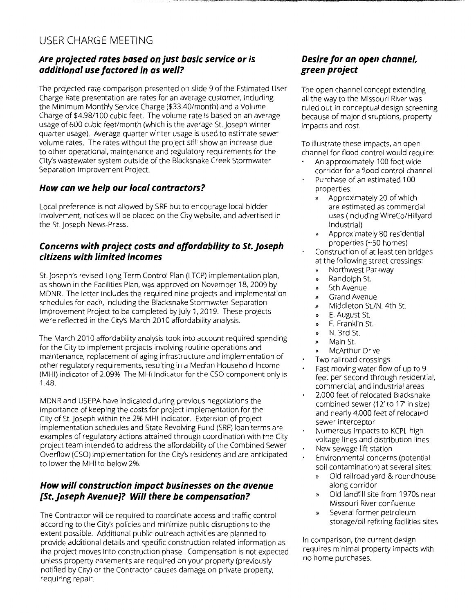#### USER CHARGE MEETING

#### *Are projected rates based on just basic service or is additional use factored in as well?*

The projected rate comparison presented on slide 9 of the Estimated User Charge Rate presentation are rates for an average customer, including the Minimum Monthly Service Charge (\$33.40/month) and a Volume Charge of \$4.98/100 cubic feet. The volume rate is based on an average usage of 600 cubic feet/month (which is the average St. Joseph winter quarter usage). Average quarter winter usage is used to estimate sewer volume rates. The rates without the project still show an increase due to other operational, maintenance and regulatory requirements for the City's wastewater system outside of the Blacksnake Creek Stormwater Separation Improvement Project.

#### *How can we help our local contractors?*

Local preference is not allowed by SRF but to encourage local bidder involvement, notices will be placed on the City website, and advertised in the St. Joseph News-Press.

#### *Concerns with project costs and affordability to St. Joseph citizens with limited incomes*

St. Joseph's revised Long Term Control Plan (LTCP) implementation plan, as shown in the Facilities Plan, was approved on November 18, 2009 by MDNR. The letter includes the required nine projects and implementation schedules for each, including the Blacksnake Stormwater Separation Improvement Project to be completed by July 1, 2019. These projects were reflected in the City's March 2010 affordability analysis.

The March 2010 affordability analysis took into account required spending for the City to implement projects involving routine operations and maintenance, replacement of aging infrastructure and implementation of other regulatory requirements, resulting in a Median Household Income (MHI) indicator of 2.09% The MHI Indicator for the CSO component only is 1.48.

MDNR and USEPA have indicated during previous negotiations the importance of keeping the costs for project implementation for the City of St. Joseph within the 2% MHI indicator. Extension of project implementation schedules and State Revolving Fund (SRF) loan terms are examples of regulatory actions attained through coordination with the City project team intended to address the affordability of the Combined Sewer Overflow (CSO) implementation for the City's residents and are anticipated to lower the MHI to below 2%.

#### *How will construction impact businesses on the avenue [St.Joseph Avenue]? Will there be compensation?*

The Contractor will be required to coordinate access and traffic control according to the City's policies and minimize public disruptions to the extent possible. Additional public outreach activities are planned to provide additional details and specific construction related information as the project moves into construction phase. Compensation is not expected unless property easements are required on your property (previously notified by City) or the Contractor causes damage on private property, requiring repair.

#### *Desire for an open channel, green project*

The open channel concept extending all the way to the Missouri River was ruled out in conceptual design screening because of major disruptions, property impacts and cost.

To illustrate these impacts, an open channel for flood control would require:

- An approximately 100 foot wide corridor for a flood control channel
- Purchase of an estimated 100 properties:
	- » Approximately 20 of which are estimated as commercial uses (including WireCo/Hillyard Industrial)
	- » Approximately 80 residential properties (-50 homes)
- Construction of at least ten bridges at the following street crossings:
- » Northwest Parkway
- » Randolph St.
- » 5th Avenue
- » Grand Avenue
- » Middleton St./N. 4th St.
- » E. August St.
- » E. Franklin St.
- » N. 3rd St.
- » Main St.
- » McArthur Drive
- Two railroad crossings
- Fast moving water flow of up to 9 feet per second through residential, commercial, and industrial areas
- 2,000 feet of relocated Blacksnake combined sewer (12' to 17' in size) and nearly 4,000 feet of relocated sewer interceptor
- Numerous impacts to KCPL high voltage lines and distribution lines New sewage lift station
- Environmental concerns (potential soil contamination) at several sites:
	- » Old railroad yard & roundhouse along corridor
	- » Old landfill site from 1970s near Missouri River confluence
	- » Several former petroleum storage/oil refining facilities sites

In comparison, the current design requires minimal property impacts with no home purchases.